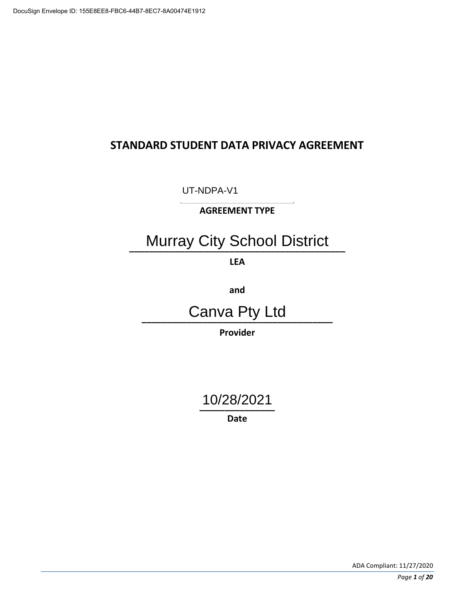# **STANDARD STUDENT DATA PRIVACY AGREEMENT**

**\_\_\_\_\_\_\_\_\_\_\_\_\_\_\_\_\_\_\_\_\_\_\_**  UT-NDPA-V1

**AGREEMENT TYPE** 

# **Murray City School District**

**LEA** 

**and** 

**\_\_\_\_\_\_\_\_\_\_\_\_\_\_\_\_\_\_\_\_\_\_\_\_\_\_\_\_\_\_\_\_\_\_\_\_\_\_**  Canva Pty Ltd

**Provider** 

**\_\_\_\_\_\_\_\_\_\_\_\_\_\_\_**  10/28/2021

**Date**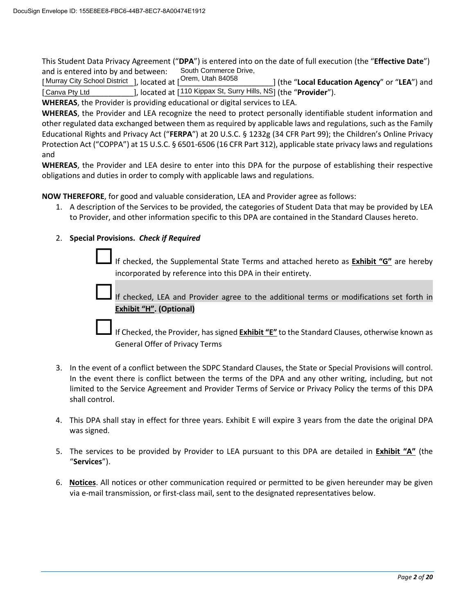and is entered into by and between: This Student Data Privacy Agreement ("**DPA**") is entered into on the date of full execution (the "**Effective Date**") South Commerce Drive,

[Murray City School District ], located at [<sup>Orem, Utah 84058</sup>]] (the "**Local Education Agency**" or "**LEA**") and<br>[Canva Pty Ltd [110 Kippax St, Surry Hills, NS] (the "**Provider**"). [Canva Pty Ltd J. located at [110 Kippax St, Surry Hills, NS] (the "**Provider**").

**WHEREAS**, the Provider is providing educational or digital services to LEA.

 **WHEREAS**, the Provider and LEA recognize the need to protect personally identifiable student information and other regulated data exchanged between them as required by applicable laws and regulations, such as the Family Educational Rights and Privacy Act ("**FERPA**") at 20 U.S.C. § 1232g (34 CFR Part 99); the Children's Online Privacy Protection Act ("COPPA") at 15 U.S.C. § 6501-6506 (16 CFR Part 312), applicable state privacy laws and regulations and

 **WHEREAS**, the Provider and LEA desire to enter into this DPA for the purpose of establishing their respective obligations and duties in order to comply with applicable laws and regulations.

**NOW THEREFORE**, for good and valuable consideration, LEA and Provider agree as follows:

1. A description of the Services to be provided, the categories of Student Data that may be provided by LEA to Provider, and other information specific to this DPA are contained in the Standard Clauses hereto.

#### 2. **Special Provisions.** *Check if Required*

If checked, the Supplemental State Terms and attached hereto as **Exhibit "G"** are hereby incorporated by reference into this DPA in their entirety.

If checked, LEA and Provider agree to the additional terms or modifications set forth in **Exhibit "H". (Optional)**

If Checked, the Provider, has signed **Exhibit "E"** to the Standard Clauses, otherwise known as General Offer of Privacy Terms

- In the event there is conflict between the terms of the DPA and any other writing, including, but not limited to the Service Agreement and Provider Terms of Service or Privacy Policy the terms of this DPA 3. In the event of a conflict between the SDPC Standard Clauses, the State or Special Provisions will control. shall control.
- 4. This DPA shall stay in effect for three years. Exhibit E will expire 3 years from the date the original DPA was signed.
- 5. The services to be provided by Provider to LEA pursuant to this DPA are detailed in **Exhibit "A"** (the "**Services**").
- via e-mail transmission, or first-class mail, sent to the designated representatives below. 6. **Notices**. All notices or other communication required or permitted to be given hereunder may be given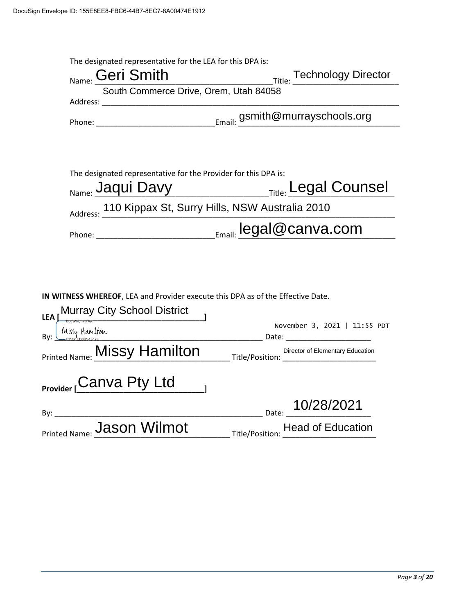| The designated representative for the LEA for this DPA is:<br><sub>Name:</sub> Geri Smith      | Title: Technology Director<br>$\overline{R}$ |
|------------------------------------------------------------------------------------------------|----------------------------------------------|
| South Commerce Drive, Orem, Utah 84058                                                         |                                              |
|                                                                                                |                                              |
|                                                                                                |                                              |
|                                                                                                |                                              |
| The designated representative for the Provider for this DPA is:<br><sub>Name:</sub> Jaqui Davy | <b>COUNDER</b> Title: Legal Counsel          |
| Address: 110 Kippax St, Surry Hills, NSW Australia 2010                                        |                                              |
|                                                                                                |                                              |
| IN WITNESS WHEREOF, LEA and Provider execute this DPA as of the Effective Date.                |                                              |
| LEA Murray City School District<br>By: Missy Hamilton                                          | November 3, 2021   11:55 PDT                 |
| Printed Name: <b>MISSY Hamilton</b> Title/Position: Director of Elementary Edu                 | Director of Elementary Education             |
| Provider <sub>L</sub> Canva Pty Ltd                                                            |                                              |
| By: ___________                                                                                | Date: 10/28/2021                             |
| Printed Name: Jason Wilmot                                                                     | Title/Position: Head of Education            |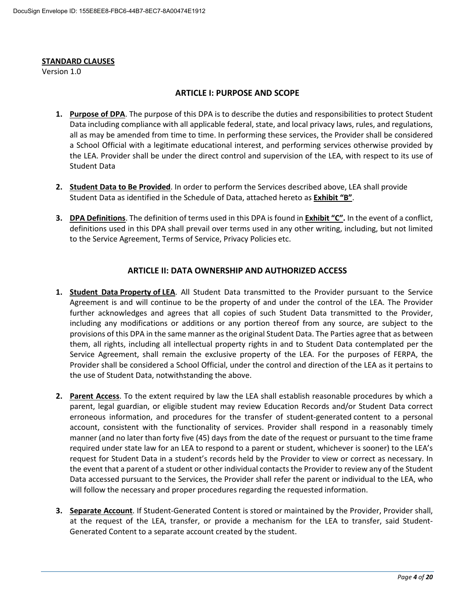#### **STANDARD CLAUSES**

Version 1.0

#### **ARTICLE I: PURPOSE AND SCOPE**

- Data including compliance with all applicable federal, state, and local privacy laws, rules, and regulations, the LEA. Provider shall be under the direct control and supervision of the LEA, with respect to its use of **1. Purpose of DPA**. The purpose of this DPA is to describe the duties and responsibilities to protect Student all as may be amended from time to time. In performing these services, the Provider shall be considered a School Official with a legitimate educational interest, and performing services otherwise provided by Student Data
- **2. Student Data to Be Provided**. In order to perform the Services described above, LEA shall provide Student Data as identified in the Schedule of Data, attached hereto as **Exhibit "B"**.
- **3. DPA Definitions**. The definition of terms used in this DPA is found in **Exhibit "C".** In the event of a conflict, to the Service Agreement, Terms of Service, Privacy Policies etc. definitions used in this DPA shall prevail over terms used in any other writing, including, but not limited

#### **ARTICLE II: DATA OWNERSHIP AND AUTHORIZED ACCESS**

- **1. Student Data Property of LEA**. All Student Data transmitted to the Provider pursuant to the Service   Agreement is and will continue to be the property of and under the control of the LEA. The Provider Service Agreement, shall remain the exclusive property of the LEA. For the purposes of FERPA, the the use of Student Data, notwithstanding the above. further acknowledges and agrees that all copies of such Student Data transmitted to the Provider, including any modifications or additions or any portion thereof from any source, are subject to the provisions of this DPA in the same manner as the original Student Data. The Parties agree that as between them, all rights, including all intellectual property rights in and to Student Data contemplated per the Provider shall be considered a School Official, under the control and direction of the LEA as it pertains to
- erroneous information, and procedures for the transfer of student-generated content to a personal required under state law for an LEA to respond to a parent or student, whichever is sooner) to the LEA's request for Student Data in a student's records held by the Provider to view or correct as necessary. In the event that a parent of a student or other individual contacts the Provider to review any of the Student **2. Parent Access**. To the extent required by law the LEA shall establish reasonable procedures by which a parent, legal guardian, or eligible student may review Education Records and/or Student Data correct account, consistent with the functionality of services. Provider shall respond in a reasonably timely manner (and no later than forty five (45) days from the date of the request or pursuant to the time frame Data accessed pursuant to the Services, the Provider shall refer the parent or individual to the LEA, who will follow the necessary and proper procedures regarding the requested information.
- **3. Separate Account**. If Student-Generated Content is stored or maintained by the Provider, Provider shall, at the request of the LEA, transfer, or provide a mechanism for the LEA to transfer, said Student-Generated Content to a separate account created by the student.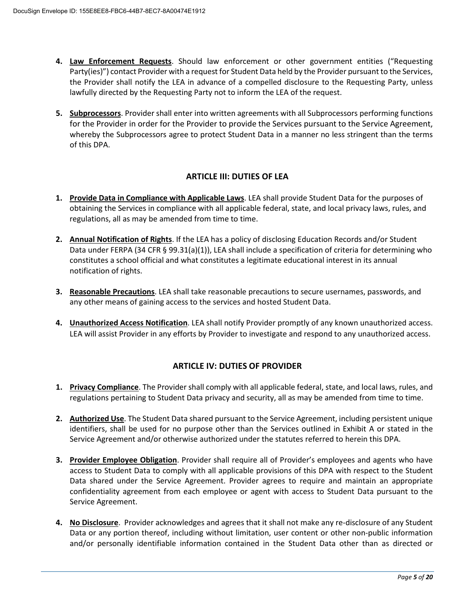- **4. Law Enforcement Requests**. Should law enforcement or other government entities ("Requesting Party(ies)") contact Provider with a request for Student Data held by the Provider pursuant to the Services, the Provider shall notify the LEA in advance of a compelled disclosure to the Requesting Party, unless lawfully directed by the Requesting Party not to inform the LEA of the request.
- **5. Subprocessors**. Provider shall enter into written agreements with all Subprocessors performing functions for the Provider in order for the Provider to provide the Services pursuant to the Service Agreement, whereby the Subprocessors agree to protect Student Data in a manner no less stringent than the terms of this DPA.

#### **ARTICLE III: DUTIES OF LEA**

- obtaining the Services in compliance with all applicable federal, state, and local privacy laws, rules, and regulations, all as may be amended from time to time. **1. Provide Data in Compliance with Applicable Laws**. LEA shall provide Student Data for the purposes of
- **2. Annual Notification of Rights**. If the LEA has a policy of disclosing Education Records and/or Student Data under FERPA (34 CFR § 99.31(a)(1)), LEA shall include a specification of criteria for determining who constitutes a school official and what constitutes a legitimate educational interest in its annual notification of rights.
- any other means of gaining access to the services and hosted Student Data. **3. Reasonable Precautions**. LEA shall take reasonable precautions to secure usernames, passwords, and
- **4. Unauthorized Access Notification**. LEA shall notify Provider promptly of any known unauthorized access. LEA will assist Provider in any efforts by Provider to investigate and respond to any unauthorized access.

#### **ARTICLE IV: DUTIES OF PROVIDER**

- **1. Privacy Compliance**. The Provider shall comply with all applicable federal, state, and local laws, rules, and regulations pertaining to Student Data privacy and security, all as may be amended from time to time.
- identifiers, shall be used for no purpose other than the Services outlined in Exhibit A or stated in the **2. Authorized Use**. The Student Data shared pursuant to the Service Agreement, including persistent unique Service Agreement and/or otherwise authorized under the statutes referred to herein this DPA.
- access to Student Data to comply with all applicable provisions of this DPA with respect to the Student **3. Provider Employee Obligation**. Provider shall require all of Provider's employees and agents who have Data shared under the Service Agreement. Provider agrees to require and maintain an appropriate confidentiality agreement from each employee or agent with access to Student Data pursuant to the Service Agreement.
- and/or personally identifiable information contained in the Student Data other than as directed or **4. No Disclosure**. Provider acknowledges and agrees that it shall not make any re-disclosure of any Student Data or any portion thereof, including without limitation, user content or other non-public information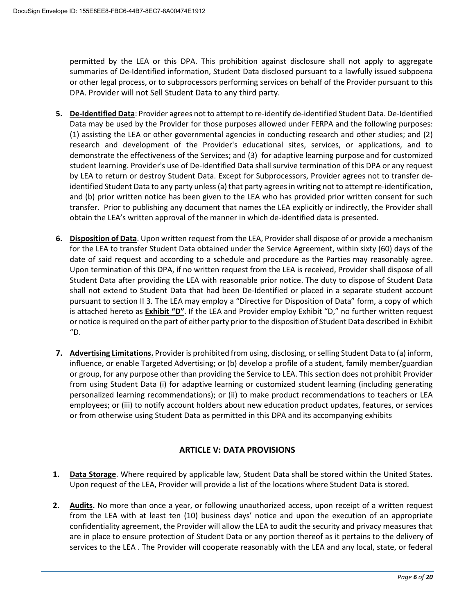permitted by the LEA or this DPA. This prohibition against disclosure shall not apply to aggregate or other legal process, or to subprocessors performing services on behalf of the Provider pursuant to this summaries of De-Identified information, Student Data disclosed pursuant to a lawfully issued subpoena DPA. Provider will not Sell Student Data to any third party.

- Data may be used by the Provider for those purposes allowed under FERPA and the following purposes: (1) assisting the LEA or other governmental agencies in conducting research and other studies; and (2) student learning. Provider's use of De-Identified Data shall survive termination of this DPA or any request and (b) prior written notice has been given to the LEA who has provided prior written consent for such transfer. Prior to publishing any document that names the LEA explicitly or indirectly, the Provider shall obtain the LEA's written approval of the manner in which de-identified data is presented. **5. De-Identified Data**: Provider agrees not to attempt to re-identify de-identified Student Data. De-Identified research and development of the Provider's educational sites, services, or applications, and to demonstrate the effectiveness of the Services; and (3) for adaptive learning purpose and for customized by LEA to return or destroy Student Data. Except for Subprocessors, Provider agrees not to transfer deidentified Student Data to any party unless (a) that party agrees in writing not to attempt re-identification,
- for the LEA to transfer Student Data obtained under the Service Agreement, within sixty (60) days of the date of said request and according to a schedule and procedure as the Parties may reasonably agree. Student Data after providing the LEA with reasonable prior notice. The duty to dispose of Student Data pursuant to section II 3. The LEA may employ a "Directive for Disposition of Data" form, a copy of which is attached hereto as **Exhibit "D"**. If the LEA and Provider employ Exhibit "D," no further written request or notice is required on the part of either party prior to the disposition of Student Data described in Exhibit **6. Disposition of Data**. Upon written request from the LEA, Provider shall dispose of or provide a mechanism Upon termination of this DPA, if no written request from the LEA is received, Provider shall dispose of all shall not extend to Student Data that had been De-Identified or placed in a separate student account "D.
- or group, for any purpose other than providing the Service to LEA. This section does not prohibit Provider personalized learning recommendations); or (ii) to make product recommendations to teachers or LEA **7. Advertising Limitations.** Provider is prohibited from using, disclosing, or selling Student Data to (a) inform, influence, or enable Targeted Advertising; or (b) develop a profile of a student, family member/guardian from using Student Data (i) for adaptive learning or customized student learning (including generating employees; or (iii) to notify account holders about new education product updates, features, or services or from otherwise using Student Data as permitted in this DPA and its accompanying exhibits

#### **ARTICLE V: DATA PROVISIONS**

- **1. Data Storage**. Where required by applicable law, Student Data shall be stored within the United States. Upon request of the LEA, Provider will provide a list of the locations where Student Data is stored.
- 2. Audits. No more than once a year, or following unauthorized access, upon receipt of a written request confidentiality agreement, the Provider will allow the LEA to audit the security and privacy measures that are in place to ensure protection of Student Data or any portion thereof as it pertains to the delivery of services to the LEA . The Provider will cooperate reasonably with the LEA and any local, state, or federal from the LEA with at least ten (10) business days' notice and upon the execution of an appropriate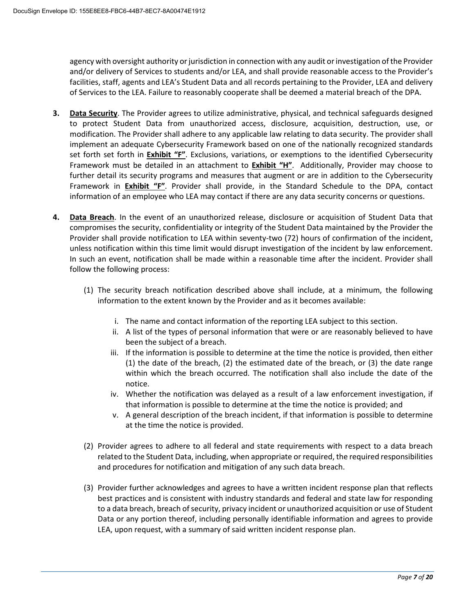agency with oversight authority or jurisdiction in connection with any audit or investigation of the Provider and/or delivery of Services to students and/or LEA, and shall provide reasonable access to the Provider's facilities, staff, agents and LEA's Student Data and all records pertaining to the Provider, LEA and delivery of Services to the LEA. Failure to reasonably cooperate shall be deemed a material breach of the DPA.

- to protect Student Data from unauthorized access, disclosure, acquisition, destruction, use, or implement an adequate Cybersecurity Framework based on one of the nationally recognized standards Framework must be detailed in an attachment to **Exhibit "H"**. Additionally, Provider may choose to information of an employee who LEA may contact if there are any data security concerns or questions. **3. Data Security**. The Provider agrees to utilize administrative, physical, and technical safeguards designed modification. The Provider shall adhere to any applicable law relating to data security. The provider shall set forth set forth in **Exhibit "F"**. Exclusions, variations, or exemptions to the identified Cybersecurity further detail its security programs and measures that augment or are in addition to the Cybersecurity Framework in **Exhibit "F"**. Provider shall provide, in the Standard Schedule to the DPA, contact
- **4. Data Breach**. In the event of an unauthorized release, disclosure or acquisition of Student Data that compromises the security, confidentiality or integrity of the Student Data maintained by the Provider the Provider shall provide notification to LEA within seventy-two (72) hours of confirmation of the incident, unless notification within this time limit would disrupt investigation of the incident by law enforcement. In such an event, notification shall be made within a reasonable time after the incident. Provider shall follow the following process:
	- (1) The security breach notification described above shall include, at a minimum, the following information to the extent known by the Provider and as it becomes available:
		- i. The name and contact information of the reporting LEA subject to this section.
		- ii. A list of the types of personal information that were or are reasonably believed to have been the subject of a breach.
		- iii. If the information is possible to determine at the time the notice is provided, then either (1) the date of the breach, (2) the estimated date of the breach, or (3) the date range within which the breach occurred. The notification shall also include the date of the notice.
		- iv. Whether the notification was delayed as a result of a law enforcement investigation, if that information is possible to determine at the time the notice is provided; and
		- v. A general description of the breach incident, if that information is possible to determine at the time the notice is provided.
	- and procedures for notification and mitigation of any such data breach. (2) Provider agrees to adhere to all federal and state requirements with respect to a data breach related to the Student Data, including, when appropriate or required, the required responsibilities
	- to a data breach, breach of security, privacy incident or unauthorized acquisition or use of Student Data or any portion thereof, including personally identifiable information and agrees to provide (3) Provider further acknowledges and agrees to have a written incident response plan that reflects best practices and is consistent with industry standards and federal and state law for responding LEA, upon request, with a summary of said written incident response plan.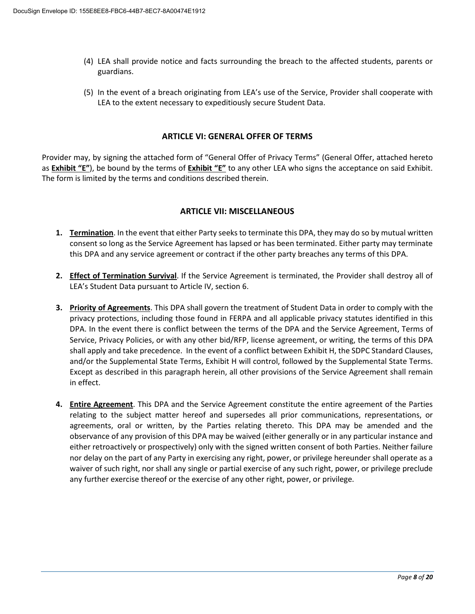- (4) LEA shall provide notice and facts surrounding the breach to the affected students, parents or guardians.
- (5) In the event of a breach originating from LEA's use of the Service, Provider shall cooperate with LEA to the extent necessary to expeditiously secure Student Data.

#### **ARTICLE VI: GENERAL OFFER OF TERMS**

 as **Exhibit "E"**), be bound by the terms of **Exhibit "E"** to any other LEA who signs the acceptance on said Exhibit. The form is limited by the terms and conditions described therein. Provider may, by signing the attached form of "General Offer of Privacy Terms" (General Offer, attached hereto

#### **ARTICLE VII: MISCELLANEOUS**

- consent so long as the Service Agreement has lapsed or has been terminated. Either party may terminate this DPA and any service agreement or contract if the other party breaches any terms of this DPA. **1. Termination**. In the event that either Party seeks to terminate this DPA, they may do so by mutual written
- **2. Effect of Termination Survival**. If the Service Agreement is terminated, the Provider shall destroy all of LEA's Student Data pursuant to Article IV, section 6.
- shall apply and take precedence. In the event of a conflict between Exhibit H, the SDPC Standard Clauses, **3. Priority of Agreements**. This DPA shall govern the treatment of Student Data in order to comply with the privacy protections, including those found in FERPA and all applicable privacy statutes identified in this DPA. In the event there is conflict between the terms of the DPA and the Service Agreement, Terms of Service, Privacy Policies, or with any other bid/RFP, license agreement, or writing, the terms of this DPA and/or the Supplemental State Terms, Exhibit H will control, followed by the Supplemental State Terms. Except as described in this paragraph herein, all other provisions of the Service Agreement shall remain in effect.
- agreements, oral or written, by the Parties relating thereto. This DPA may be amended and the **4. Entire Agreement**. This DPA and the Service Agreement constitute the entire agreement of the Parties relating to the subject matter hereof and supersedes all prior communications, representations, or observance of any provision of this DPA may be waived (either generally or in any particular instance and either retroactively or prospectively) only with the signed written consent of both Parties. Neither failure nor delay on the part of any Party in exercising any right, power, or privilege hereunder shall operate as a waiver of such right, nor shall any single or partial exercise of any such right, power, or privilege preclude any further exercise thereof or the exercise of any other right, power, or privilege.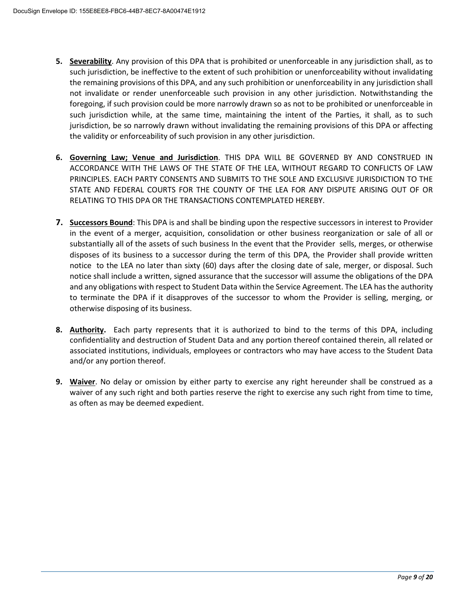- **5. Severability**. Any provision of this DPA that is prohibited or unenforceable in any jurisdiction shall, as to such jurisdiction while, at the same time, maintaining the intent of the Parties, it shall, as to such jurisdiction, be so narrowly drawn without invalidating the remaining provisions of this DPA or affecting such jurisdiction, be ineffective to the extent of such prohibition or unenforceability without invalidating the remaining provisions of this DPA, and any such prohibition or unenforceability in any jurisdiction shall not invalidate or render unenforceable such provision in any other jurisdiction. Notwithstanding the foregoing, if such provision could be more narrowly drawn so as not to be prohibited or unenforceable in the validity or enforceability of such provision in any other jurisdiction.
- ACCORDANCE WITH THE LAWS OF THE STATE OF THE LEA, WITHOUT REGARD TO CONFLICTS OF LAW **6. Governing Law; Venue and Jurisdiction**. THIS DPA WILL BE GOVERNED BY AND CONSTRUED IN PRINCIPLES. EACH PARTY CONSENTS AND SUBMITS TO THE SOLE AND EXCLUSIVE JURISDICTION TO THE STATE AND FEDERAL COURTS FOR THE COUNTY OF THE LEA FOR ANY DISPUTE ARISING OUT OF OR RELATING TO THIS DPA OR THE TRANSACTIONS CONTEMPLATED HEREBY.
- **7. Successors Bound**: This DPA is and shall be binding upon the respective successors in interest to Provider in the event of a merger, acquisition, consolidation or other business reorganization or sale of all or notice to the LEA no later than sixty (60) days after the closing date of sale, merger, or disposal. Such to terminate the DPA if it disapproves of the successor to whom the Provider is selling, merging, or substantially all of the assets of such business In the event that the Provider sells, merges, or otherwise disposes of its business to a successor during the term of this DPA, the Provider shall provide written notice shall include a written, signed assurance that the successor will assume the obligations of the DPA and any obligations with respect to Student Data within the Service Agreement. The LEA has the authority otherwise disposing of its business.
- **8. Authority.** Each party represents that it is authorized to bind to the terms of this DPA, including confidentiality and destruction of Student Data and any portion thereof contained therein, all related or associated institutions, individuals, employees or contractors who may have access to the Student Data and/or any portion thereof.
- **9. Waiver**. No delay or omission by either party to exercise any right hereunder shall be construed as a waiver of any such right and both parties reserve the right to exercise any such right from time to time, as often as may be deemed expedient.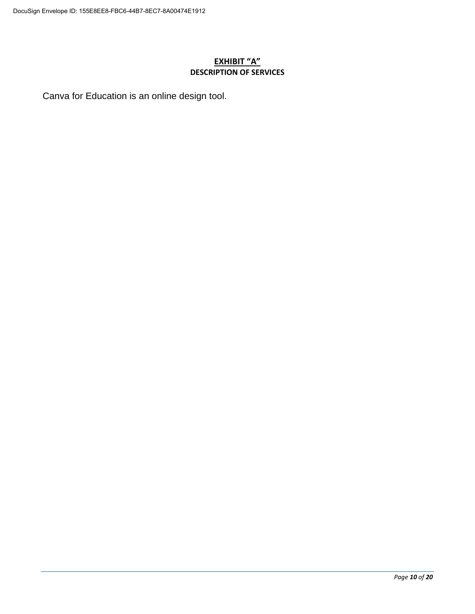## **EXHIBIT "A" DESCRIPTION OF SERVICES**

Canva for Education is an online design tool.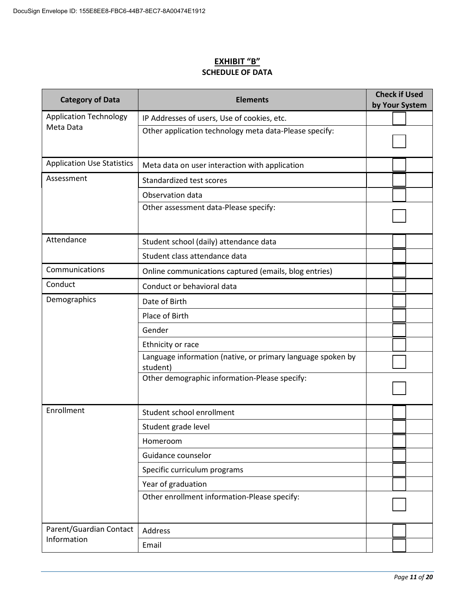#### **EXHIBIT "B" SCHEDULE OF DATA**

| <b>Category of Data</b>           | <b>Elements</b>                                                         | <b>Check if Used</b><br>by Your System |  |
|-----------------------------------|-------------------------------------------------------------------------|----------------------------------------|--|
| <b>Application Technology</b>     | IP Addresses of users, Use of cookies, etc.                             |                                        |  |
| Meta Data                         | Other application technology meta data-Please specify:                  |                                        |  |
| <b>Application Use Statistics</b> | Meta data on user interaction with application                          |                                        |  |
| Assessment                        | Standardized test scores                                                |                                        |  |
|                                   | Observation data                                                        |                                        |  |
|                                   | Other assessment data-Please specify:                                   |                                        |  |
| Attendance                        | Student school (daily) attendance data                                  |                                        |  |
|                                   | Student class attendance data                                           |                                        |  |
| Communications                    | Online communications captured (emails, blog entries)                   |                                        |  |
| Conduct                           | Conduct or behavioral data                                              |                                        |  |
| Demographics                      | Date of Birth                                                           |                                        |  |
|                                   | Place of Birth                                                          |                                        |  |
|                                   | Gender                                                                  |                                        |  |
|                                   | Ethnicity or race                                                       |                                        |  |
|                                   | Language information (native, or primary language spoken by<br>student) |                                        |  |
|                                   | Other demographic information-Please specify:                           |                                        |  |
| Enrollment                        | Student school enrollment                                               |                                        |  |
|                                   | Student grade level                                                     |                                        |  |
|                                   | Homeroom                                                                |                                        |  |
|                                   | Guidance counselor                                                      |                                        |  |
|                                   | Specific curriculum programs                                            |                                        |  |
|                                   | Year of graduation                                                      |                                        |  |
|                                   | Other enrollment information-Please specify:                            |                                        |  |
| Parent/Guardian Contact           | Address                                                                 |                                        |  |
| Information                       | Email                                                                   |                                        |  |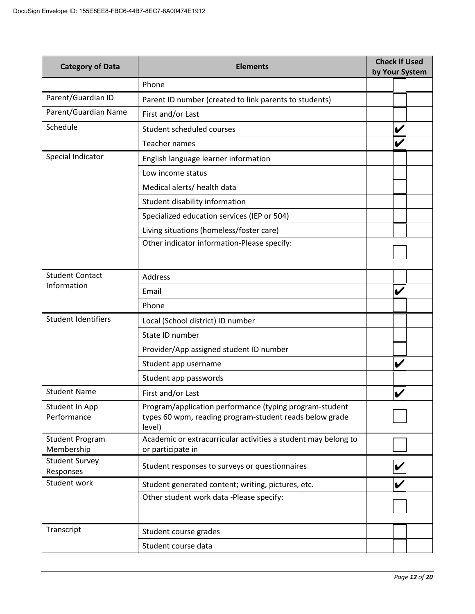| <b>Category of Data</b>                                                              | <b>Check if Used</b><br><b>Elements</b><br>by Your System                                                                    |  |   |  |
|--------------------------------------------------------------------------------------|------------------------------------------------------------------------------------------------------------------------------|--|---|--|
|                                                                                      | Phone                                                                                                                        |  |   |  |
| Parent/Guardian ID                                                                   | Parent ID number (created to link parents to students)                                                                       |  |   |  |
| Parent/Guardian Name                                                                 | First and/or Last                                                                                                            |  |   |  |
| Schedule                                                                             | Student scheduled courses                                                                                                    |  | V |  |
|                                                                                      | <b>Teacher names</b>                                                                                                         |  | V |  |
| Special Indicator                                                                    | English language learner information                                                                                         |  |   |  |
|                                                                                      | Low income status                                                                                                            |  |   |  |
|                                                                                      | Medical alerts/ health data                                                                                                  |  |   |  |
|                                                                                      | Student disability information                                                                                               |  |   |  |
|                                                                                      | Specialized education services (IEP or 504)                                                                                  |  |   |  |
|                                                                                      | Living situations (homeless/foster care)                                                                                     |  |   |  |
|                                                                                      | Other indicator information-Please specify:                                                                                  |  |   |  |
|                                                                                      |                                                                                                                              |  |   |  |
| <b>Student Contact</b>                                                               | Address                                                                                                                      |  |   |  |
| Information                                                                          | Email                                                                                                                        |  | V |  |
|                                                                                      | Phone                                                                                                                        |  |   |  |
| <b>Student Identifiers</b>                                                           | Local (School district) ID number                                                                                            |  |   |  |
|                                                                                      | State ID number                                                                                                              |  |   |  |
|                                                                                      | Provider/App assigned student ID number                                                                                      |  |   |  |
|                                                                                      | Student app username                                                                                                         |  | V |  |
|                                                                                      | Student app passwords                                                                                                        |  |   |  |
| <b>Student Name</b>                                                                  | First and/or Last                                                                                                            |  | V |  |
| Student In App<br>Performance                                                        | Program/application performance (typing program-student<br>types 60 wpm, reading program-student reads below grade<br>level) |  |   |  |
| <b>Student Program</b><br>Membership                                                 | Academic or extracurricular activities a student may belong to<br>or participate in                                          |  |   |  |
| <b>Student Survey</b><br>Student responses to surveys or questionnaires<br>Responses |                                                                                                                              |  |   |  |
| Student work                                                                         | Student generated content; writing, pictures, etc.                                                                           |  |   |  |
|                                                                                      | Other student work data -Please specify:                                                                                     |  |   |  |
| Transcript                                                                           | Student course grades                                                                                                        |  |   |  |
|                                                                                      | Student course data                                                                                                          |  |   |  |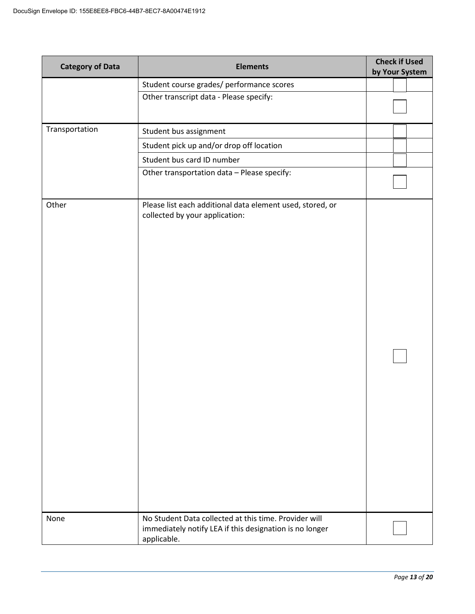| <b>Category of Data</b> | <b>Elements</b>                                                                                                                 | <b>Check if Used</b><br>by Your System |
|-------------------------|---------------------------------------------------------------------------------------------------------------------------------|----------------------------------------|
|                         | Student course grades/ performance scores                                                                                       |                                        |
|                         | Other transcript data - Please specify:                                                                                         |                                        |
|                         |                                                                                                                                 |                                        |
| Transportation          | Student bus assignment                                                                                                          |                                        |
|                         | Student pick up and/or drop off location                                                                                        |                                        |
|                         | Student bus card ID number                                                                                                      |                                        |
|                         | Other transportation data - Please specify:                                                                                     |                                        |
| Other                   | Please list each additional data element used, stored, or<br>collected by your application:                                     |                                        |
| None                    | No Student Data collected at this time. Provider will<br>immediately notify LEA if this designation is no longer<br>applicable. |                                        |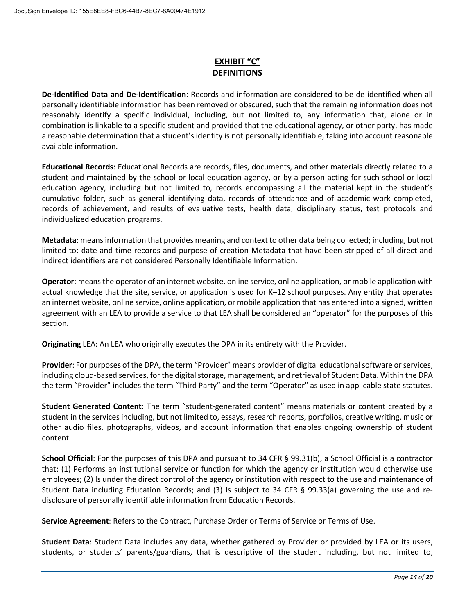# **EXHIBIT "C" DEFINITIONS**

 **De-Identified Data and De-Identification**: Records and information are considered to be de-identified when all personally identifiable information has been removed or obscured, such that the remaining information does not reasonably identify a specific individual, including, but not limited to, any information that, alone or in combination is linkable to a specific student and provided that the educational agency, or other party, has made a reasonable determination that a student's identity is not personally identifiable, taking into account reasonable available information.

 **Educational Records**: Educational Records are records, files, documents, and other materials directly related to a student and maintained by the school or local education agency, or by a person acting for such school or local cumulative folder, such as general identifying data, records of attendance and of academic work completed, records of achievement, and results of evaluative tests, health data, disciplinary status, test protocols and individualized education programs. education agency, including but not limited to, records encompassing all the material kept in the student's

 limited to: date and time records and purpose of creation Metadata that have been stripped of all direct and **Metadata**: means information that provides meaning and context to other data being collected; including, but not indirect identifiers are not considered Personally Identifiable Information.

 **Operator**: means the operator of an internet website, online service, online application, or mobile application with actual knowledge that the site, service, or application is used for K–12 school purposes. Any entity that operates an internet website, online service, online application, or mobile application that has entered into a signed, written agreement with an LEA to provide a service to that LEA shall be considered an "operator" for the purposes of this section.

**Originating** LEA: An LEA who originally executes the DPA in its entirety with the Provider.

 **Provider**: For purposes of the DPA, the term "Provider" means provider of digital educational software or services, the term "Provider" includes the term "Third Party" and the term "Operator" as used in applicable state statutes. including cloud-based services, for the digital storage, management, and retrieval of Student Data. Within the DPA

 **Student Generated Content**: The term "student-generated content" means materials or content created by a student in the services including, but not limited to, essays, research reports, portfolios, creative writing, music or other audio files, photographs, videos, and account information that enables ongoing ownership of student content.

 **School Official**: For the purposes of this DPA and pursuant to 34 CFR § 99.31(b), a School Official is a contractor employees; (2) Is under the direct control of the agency or institution with respect to the use and maintenance of Student Data including Education Records; and (3) Is subject to 34 CFR § 99.33(a) governing the use and rethat: (1) Performs an institutional service or function for which the agency or institution would otherwise use disclosure of personally identifiable information from Education Records.

**Service Agreement**: Refers to the Contract, Purchase Order or Terms of Service or Terms of Use.

 **Student Data**: Student Data includes any data, whether gathered by Provider or provided by LEA or its users, students, or students' parents/guardians, that is descriptive of the student including, but not limited to,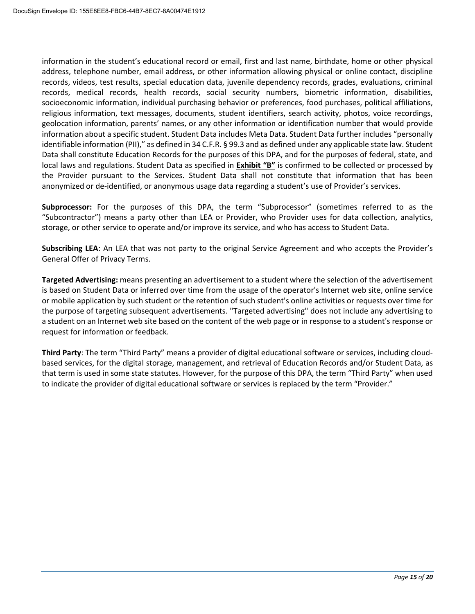geolocation information, parents' names, or any other information or identification number that would provide information about a specific student. Student Data includes Meta Data. Student Data further includes "personally Data shall constitute Education Records for the purposes of this DPA, and for the purposes of federal, state, and local laws and regulations. Student Data as specified in **Exhibit "B"** is confirmed to be collected or processed by information in the student's educational record or email, first and last name, birthdate, home or other physical address, telephone number, email address, or other information allowing physical or online contact, discipline records, videos, test results, special education data, juvenile dependency records, grades, evaluations, criminal records, medical records, health records, social security numbers, biometric information, disabilities, socioeconomic information, individual purchasing behavior or preferences, food purchases, political affiliations, religious information, text messages, documents, student identifiers, search activity, photos, voice recordings, identifiable information (PII)," as defined in 34 C.F.R. § 99.3 and as defined under any applicable state law. Student the Provider pursuant to the Services. Student Data shall not constitute that information that has been anonymized or de-identified, or anonymous usage data regarding a student's use of Provider's services.

 "Subcontractor") means a party other than LEA or Provider, who Provider uses for data collection, analytics, storage, or other service to operate and/or improve its service, and who has access to Student Data. **Subprocessor:** For the purposes of this DPA, the term "Subprocessor" (sometimes referred to as the

**Subscribing LEA**: An LEA that was not party to the original Service Agreement and who accepts the Provider's General Offer of Privacy Terms.

 **Targeted Advertising:** means presenting an advertisement to a student where the selection of the advertisement is based on Student Data or inferred over time from the usage of the operator's Internet web site, online service or mobile application by such student or the retention of such student's online activities or requests over time for a student on an Internet web site based on the content of the web page or in response to a student's response or the purpose of targeting subsequent advertisements. "Targeted advertising" does not include any advertising to request for information or feedback.

 that term is used in some state statutes. However, for the purpose of this DPA, the term "Third Party" when used **Third Party**: The term "Third Party" means a provider of digital educational software or services, including cloudbased services, for the digital storage, management, and retrieval of Education Records and/or Student Data, as to indicate the provider of digital educational software or services is replaced by the term "Provider."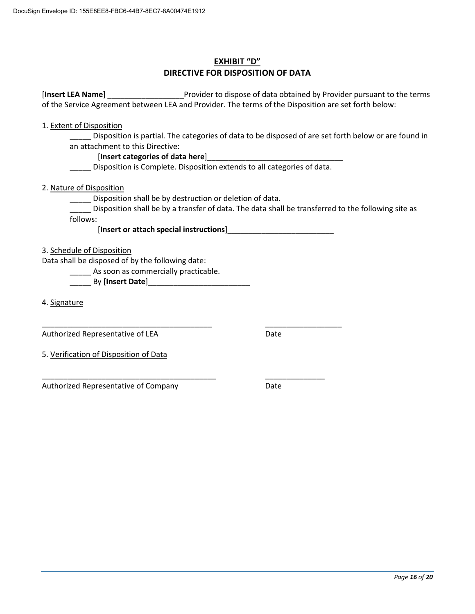# **EXHIBIT "D" DIRECTIVE FOR DISPOSITION OF DATA**

 [**Insert LEA Name**] \_\_\_\_\_\_\_\_\_\_\_\_\_\_\_\_\_\_Provider to dispose of data obtained by Provider pursuant to the terms of the Service Agreement between LEA and Provider. The terms of the Disposition are set forth below:

1. Extent of Disposition

 \_\_\_\_\_ Disposition is partial. The categories of data to be disposed of are set forth below or are found in an attachment to this Directive:

#### [**Insert categories of data here**]\_\_\_\_\_\_\_\_\_\_\_\_\_\_\_\_\_\_\_\_\_\_\_\_\_\_\_\_\_\_\_\_

Disposition is Complete. Disposition extends to all categories of data.

2. Nature of Disposition

\_\_\_\_\_ Disposition shall be by destruction or deletion of data.

\_\_\_\_\_ Disposition shall be by a transfer of data. The data shall be transferred to the following site as follows:

 [**Insert or attach special instructions**]\_\_\_\_\_\_\_\_\_\_\_\_\_\_\_\_\_\_\_\_\_\_\_\_\_

3. Schedule of Disposition

Data shall be disposed of by the following date:

\_\_\_\_\_\_\_\_\_\_\_\_\_\_\_\_\_\_\_\_\_\_\_\_\_\_\_\_\_\_\_\_\_\_\_\_\_\_\_\_

\_\_\_\_\_\_\_\_\_\_\_\_\_\_\_\_\_\_\_\_\_\_\_\_\_\_\_\_\_\_\_\_\_\_\_\_\_\_\_\_\_

\_\_\_\_\_ As soon as commercially practicable.

\_\_\_\_\_ By [**Insert Date**]\_\_\_\_\_\_\_\_\_\_\_\_\_\_\_\_\_\_\_\_\_\_\_\_

4. Signature

Authorized Representative of LEA

Date

\_\_\_\_\_\_\_\_\_\_\_\_\_\_\_\_\_\_

5. Verification of Disposition of Data

Authorized Representative of Company \_\_\_\_\_\_\_\_\_\_\_\_\_\_

Date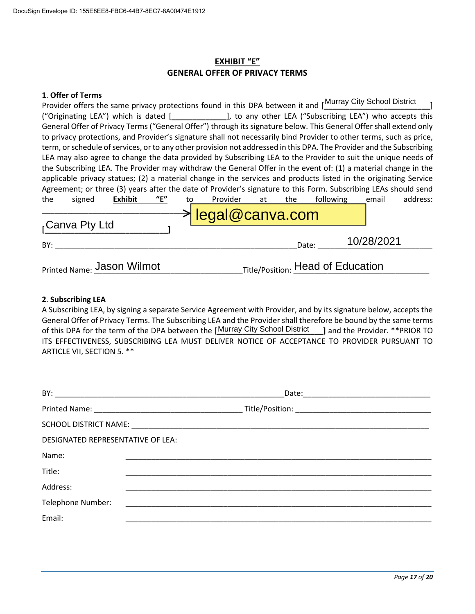## **EXHIBIT "E" GENERAL OFFER OF PRIVACY TERMS**

#### **1**. **Offer of Terms**

| ("Originating LEA") which is dated [_____________], to any other LEA ("Subscribing LEA") who accepts this<br>General Offer of Privacy Terms ("General Offer") through its signature below. This General Offer shall extend only |
|---------------------------------------------------------------------------------------------------------------------------------------------------------------------------------------------------------------------------------|
|                                                                                                                                                                                                                                 |
|                                                                                                                                                                                                                                 |
| to privacy protections, and Provider's signature shall not necessarily bind Provider to other terms, such as price,                                                                                                             |
| term, or schedule of services, or to any other provision not addressed in this DPA. The Provider and the Subscribing                                                                                                            |
| LEA may also agree to change the data provided by Subscribing LEA to the Provider to suit the unique needs of                                                                                                                   |
| the Subscribing LEA. The Provider may withdraw the General Offer in the event of: (1) a material change in the                                                                                                                  |
| applicable privacy statues; (2) a material change in the services and products listed in the originating Service                                                                                                                |
| Agreement; or three (3) years after the date of Provider's signature to this Form. Subscribing LEAs should send                                                                                                                 |
| "E"<br>Provider<br>address:<br>Exhibit<br>following<br>the<br>signed<br>email<br>the<br>at<br>to                                                                                                                                |
| legal@canva.com                                                                                                                                                                                                                 |
| <sub>r</sub> Canva Pty Ltd                                                                                                                                                                                                      |
|                                                                                                                                                                                                                                 |
| 10/28/2021<br>Date:<br>BY:                                                                                                                                                                                                      |
|                                                                                                                                                                                                                                 |
| Title/Position: Head of Education<br>Printed Name: Jason Wilmot                                                                                                                                                                 |

#### **2**. **Subscribing LEA**

 A Subscribing LEA, by signing a separate Service Agreement with Provider, and by its signature below, accepts the General Offer of Privacy Terms. The Subscribing LEA and the Provider shall therefore be bound by the same terms of this DPA for the term of the DPA between the [Murray City School District \_\_\_\_] and the Provider. \*\*PRIOR TO ITS EFFECTIVENESS, SUBSCRIBING LEA MUST DELIVER NOTICE OF ACCEPTANCE TO PROVIDER PURSUANT TO ARTICLE VII, SECTION 5. \*\*

|                                   | Date: <u>www.communications.communications.com</u> |  |  |
|-----------------------------------|----------------------------------------------------|--|--|
|                                   |                                                    |  |  |
|                                   |                                                    |  |  |
| DESIGNATED REPRESENTATIVE OF LEA: |                                                    |  |  |
| Name:                             |                                                    |  |  |
| Title:                            |                                                    |  |  |
| Address:                          |                                                    |  |  |
| Telephone Number:                 |                                                    |  |  |
| Email:                            |                                                    |  |  |
|                                   |                                                    |  |  |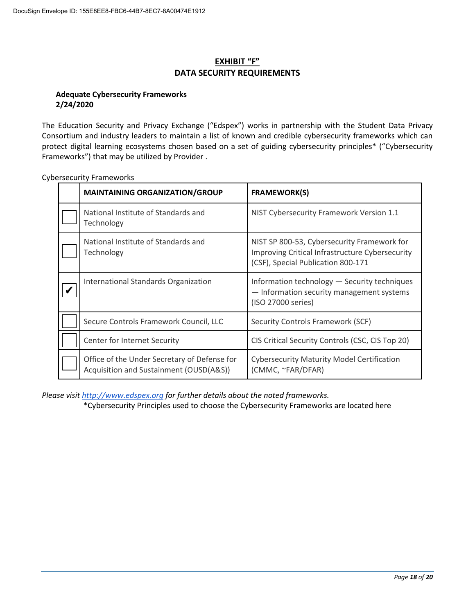# **EXHIBIT "F" DATA SECURITY REQUIREMENTS**

#### **Adequate Cybersecurity Frameworks 2/24/2020**

 The Education Security and Privacy Exchange ("Edspex") works in partnership with the Student Data Privacy Frameworks") that may be utilized by Provider . Consortium and industry leaders to maintain a list of known and credible cybersecurity frameworks which can protect digital learning ecosystems chosen based on a set of guiding cybersecurity principles\* ("Cybersecurity

| <b>MAINTAINING ORGANIZATION/GROUP</b>                                                   | <b>FRAMEWORK(S)</b>                                                                                                                  |
|-----------------------------------------------------------------------------------------|--------------------------------------------------------------------------------------------------------------------------------------|
| National Institute of Standards and<br>Technology                                       | NIST Cybersecurity Framework Version 1.1                                                                                             |
| National Institute of Standards and<br>Technology                                       | NIST SP 800-53, Cybersecurity Framework for<br>Improving Critical Infrastructure Cybersecurity<br>(CSF), Special Publication 800-171 |
| International Standards Organization                                                    | Information technology - Security techniques<br>- Information security management systems<br>(ISO 27000 series)                      |
| Secure Controls Framework Council, LLC                                                  | Security Controls Framework (SCF)                                                                                                    |
| Center for Internet Security                                                            | CIS Critical Security Controls (CSC, CIS Top 20)                                                                                     |
| Office of the Under Secretary of Defense for<br>Acquisition and Sustainment (OUSD(A&S)) | <b>Cybersecurity Maturity Model Certification</b><br>(CMMC, ~FAR/DFAR)                                                               |

Cybersecurity Frameworks

*Please visit http://www.edspex.org for further details about the noted frameworks.* 

\*Cybersecurity Principles used to choose the Cybersecurity Frameworks are located here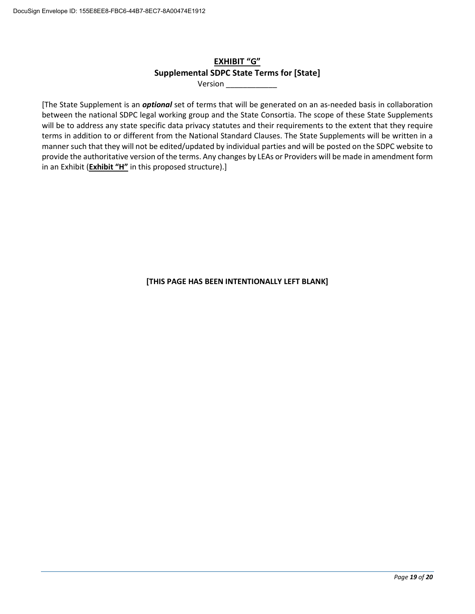# **EXHIBIT "G" Supplemental SDPC State Terms for [State]**

Version \_\_\_\_\_\_\_\_\_\_\_\_

 terms in addition to or different from the National Standard Clauses. The State Supplements will be written in a manner such that they will not be edited/updated by individual parties and will be posted on the SDPC website to provide the authoritative version of the terms. Any changes by LEAs or Providers will be made in amendment form [The State Supplement is an *optional* set of terms that will be generated on an as-needed basis in collaboration between the national SDPC legal working group and the State Consortia. The scope of these State Supplements will be to address any state specific data privacy statutes and their requirements to the extent that they require in an Exhibit (**Exhibit "H"** in this proposed structure).]

**[THIS PAGE HAS BEEN INTENTIONALLY LEFT BLANK]**